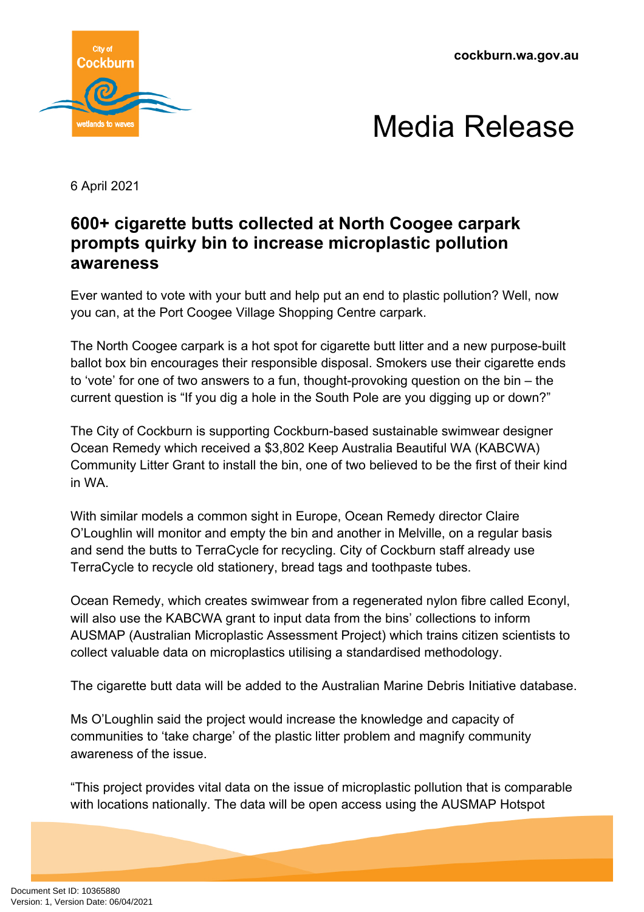**cockburn.wa.gov.au**





6 April 2021

## **600+ cigarette butts collected at North Coogee carpark prompts quirky bin to increase microplastic pollution awareness**

Ever wanted to vote with your butt and help put an end to plastic pollution? Well, now you can, at the Port Coogee Village Shopping Centre carpark.

The North Coogee carpark is a hot spot for cigarette butt litter and a new purpose-built ballot box bin encourages their responsible disposal. Smokers use their cigarette ends to 'vote' for one of two answers to a fun, thought-provoking question on the bin – the current question is "If you dig a hole in the South Pole are you digging up or down?"

The City of Cockburn is supporting Cockburn-based sustainable swimwear designer Ocean Remedy which received a \$3,802 Keep Australia Beautiful WA (KABCWA) Community Litter Grant to install the bin, one of two believed to be the first of their kind in WA.

With similar models a common sight in Europe, Ocean Remedy director Claire O'Loughlin will monitor and empty the bin and another in Melville, on a regular basis and send the butts to TerraCycle for recycling. City of Cockburn staff already use TerraCycle to recycle old stationery, bread tags and toothpaste tubes.

Ocean Remedy, which creates swimwear from a regenerated nylon fibre called Econyl, will also use the KABCWA grant to input data from the bins' collections to inform AUSMAP (Australian Microplastic Assessment Project) which trains citizen scientists to collect valuable data on microplastics utilising a standardised methodology.

The cigarette butt data will be added to the Australian Marine Debris Initiative database.

Ms O'Loughlin said the project would increase the knowledge and capacity of communities to 'take charge' of the plastic litter problem and magnify community awareness of the issue.

"This project provides vital data on the issue of microplastic pollution that is comparable with locations nationally. The data will be open access using the AUSMAP Hotspot